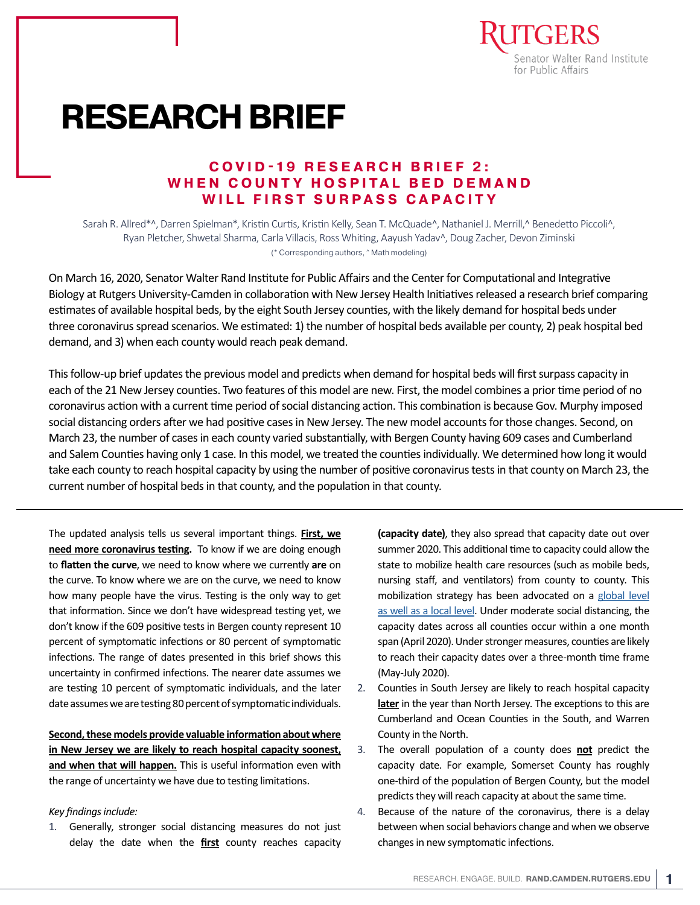

# **RESEARCH BRIEF**

# **COVID-19 RESEARCH BRIEF 2:** WHEN COUNTY HOSPITAL BED DEMAND **WILL FIRST SURPASS CAPACITY**

Sarah R. Allred\*^, Darren Spielman\*, Kristin Curtis, Kristin Kelly, Sean T. McQuade^, Nathaniel J. Merrill,^ Benedetto Piccoli^, Ryan Pletcher, Shwetal Sharma, Carla Villacis, Ross Whiting, Aayush Yadav^, Doug Zacher, Devon Ziminski (\* Corresponding authors, ^ Math modeling)

On March 16, 2020, Senator Walter Rand Institute for Public Affairs and the Center for Computational and Integrative Biology at Rutgers University-Camden in collaboration with New Jersey Health Initiatives released a research brief comparing estimates of available hospital beds, by the eight South Jersey counties, with the likely demand for hospital beds under three coronavirus spread scenarios. We estimated: 1) the number of hospital beds available per county, 2) peak hospital bed demand, and 3) when each county would reach peak demand.

This follow-up brief updates the previous model and predicts when demand for hospital beds will first surpass capacity in each of the 21 New Jersey counties. Two features of this model are new. First, the model combines a prior time period of no coronavirus action with a current time period of social distancing action. This combination is because Gov. Murphy imposed social distancing orders after we had positive cases in New Jersey. The new model accounts for those changes. Second, on March 23, the number of cases in each county varied substantially, with Bergen County having 609 cases and Cumberland and Salem Counties having only 1 case. In this model, we treated the counties individually. We determined how long it would take each county to reach hospital capacity by using the number of positive coronavirus tests in that county on March 23, the current number of hospital beds in that county, and the population in that county.

The updated analysis tells us several important things. **First, we need more coronavirus testing.** To know if we are doing enough to **flatten the curve**, we need to know where we currently **are** on the curve. To know where we are on the curve, we need to know how many people have the virus. Testing is the only way to get that information. Since we don't have widespread testing yet, we don't know if the 609 positive tests in Bergen county represent 10 percent of symptomatic infections or 80 percent of symptomatic infections. The range of dates presented in this brief shows this uncertainty in confirmed infections. The nearer date assumes we are testing 10 percent of symptomatic individuals, and the later date assumes we are testing 80 percent of symptomatic individuals.

**Second, these models provide valuable information about where in New Jersey we are likely to reach hospital capacity soonest, and when that will happen.** This is useful information even with the range of uncertainty we have due to testing limitations.

#### *Key findings include:*

1. Generally, stronger social distancing measures do not just delay the date when the **first** county reaches capacity **(capacity date)**, they also spread that capacity date out over summer 2020. This additional time to capacity could allow the state to mobilize health care resources (such as mobile beds, nursing staff, and ventilators) from county to county. This mobilization strategy has been advocated on a [global level](https://philadelphia.cbslocal.com/2020/03/26/coronavirus-latest-penn-medicine-model-warns-of-coronavirus-tsunami-to-hit-philadelphia-in-may/) [as well as a local level](https://philadelphia.cbslocal.com/2020/03/26/coronavirus-latest-penn-medicine-model-warns-of-coronavirus-tsunami-to-hit-philadelphia-in-may/). Under moderate social distancing, the capacity dates across all counties occur within a one month span (April 2020). Under stronger measures, counties are likely to reach their capacity dates over a three-month time frame (May-July 2020).

- 2. Counties in South Jersey are likely to reach hospital capacity **later** in the year than North Jersey. The exceptions to this are Cumberland and Ocean Counties in the South, and Warren County in the North.
- 3. The overall population of a county does **not** predict the capacity date. For example, Somerset County has roughly one-third of the population of Bergen County, but the model predicts they will reach capacity at about the same time.
- 4. Because of the nature of the coronavirus, there is a delay between when social behaviors change and when we observe changes in new symptomatic infections.